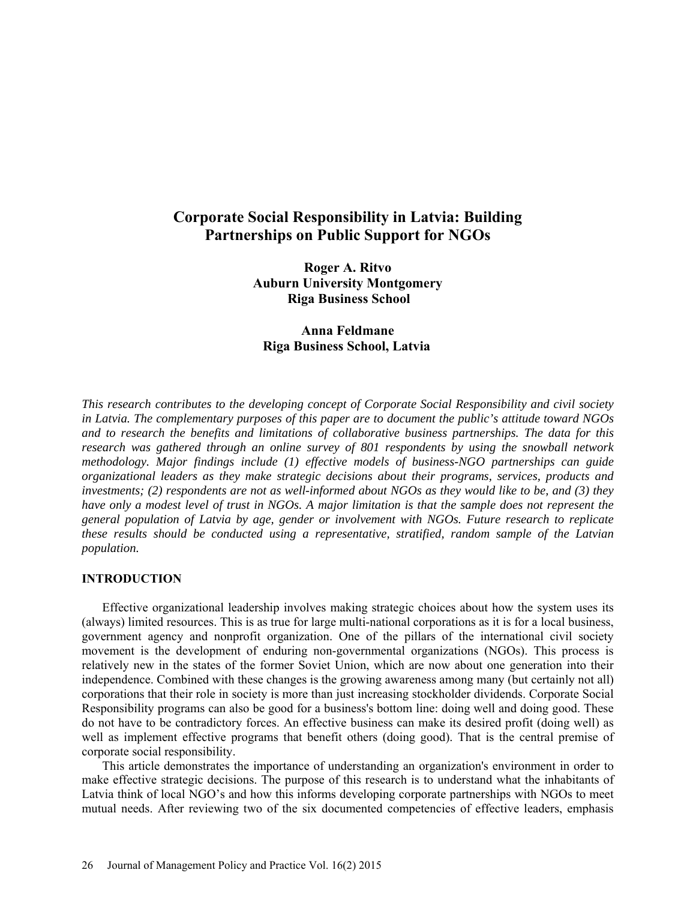# **Corporate Social Responsibility in Latvia: Building Partnerships on Public Support for NGOs**

**Roger A. Ritvo Auburn University Montgomery Riga Business School** 

## **Anna Feldmane Riga Business School, Latvia**

*This research contributes to the developing concept of Corporate Social Responsibility and civil society in Latvia. The complementary purposes of this paper are to document the public's attitude toward NGOs and to research the benefits and limitations of collaborative business partnerships. The data for this research was gathered through an online survey of 801 respondents by using the snowball network methodology. Major findings include (1) effective models of business-NGO partnerships can guide organizational leaders as they make strategic decisions about their programs, services, products and investments; (2) respondents are not as well-informed about NGOs as they would like to be, and (3) they have only a modest level of trust in NGOs. A major limitation is that the sample does not represent the general population of Latvia by age, gender or involvement with NGOs. Future research to replicate these results should be conducted using a representative, stratified, random sample of the Latvian population.* 

### **INTRODUCTION**

Effective organizational leadership involves making strategic choices about how the system uses its (always) limited resources. This is as true for large multi-national corporations as it is for a local business, government agency and nonprofit organization. One of the pillars of the international civil society movement is the development of enduring non-governmental organizations (NGOs). This process is relatively new in the states of the former Soviet Union, which are now about one generation into their independence. Combined with these changes is the growing awareness among many (but certainly not all) corporations that their role in society is more than just increasing stockholder dividends. Corporate Social Responsibility programs can also be good for a business's bottom line: doing well and doing good. These do not have to be contradictory forces. An effective business can make its desired profit (doing well) as well as implement effective programs that benefit others (doing good). That is the central premise of corporate social responsibility.

This article demonstrates the importance of understanding an organization's environment in order to make effective strategic decisions. The purpose of this research is to understand what the inhabitants of Latvia think of local NGO's and how this informs developing corporate partnerships with NGOs to meet mutual needs. After reviewing two of the six documented competencies of effective leaders, emphasis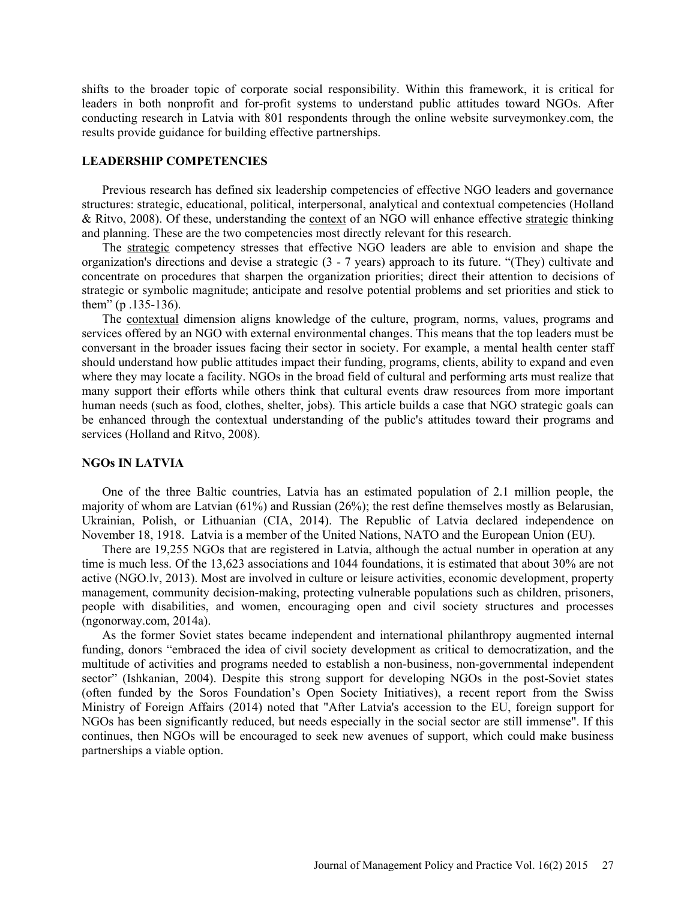shifts to the broader topic of corporate social responsibility. Within this framework, it is critical for leaders in both nonprofit and for-profit systems to understand public attitudes toward NGOs. After conducting research in Latvia with 801 respondents through the online website surveymonkey.com, the results provide guidance for building effective partnerships.

### **LEADERSHIP COMPETENCIES**

Previous research has defined six leadership competencies of effective NGO leaders and governance structures: strategic, educational, political, interpersonal, analytical and contextual competencies (Holland & Ritvo, 2008). Of these, understanding the context of an NGO will enhance effective strategic thinking and planning. These are the two competencies most directly relevant for this research.

The strategic competency stresses that effective NGO leaders are able to envision and shape the organization's directions and devise a strategic (3 - 7 years) approach to its future. "(They) cultivate and concentrate on procedures that sharpen the organization priorities; direct their attention to decisions of strategic or symbolic magnitude; anticipate and resolve potential problems and set priorities and stick to them" (p .135-136).

The contextual dimension aligns knowledge of the culture, program, norms, values, programs and services offered by an NGO with external environmental changes. This means that the top leaders must be conversant in the broader issues facing their sector in society. For example, a mental health center staff should understand how public attitudes impact their funding, programs, clients, ability to expand and even where they may locate a facility. NGOs in the broad field of cultural and performing arts must realize that many support their efforts while others think that cultural events draw resources from more important human needs (such as food, clothes, shelter, jobs). This article builds a case that NGO strategic goals can be enhanced through the contextual understanding of the public's attitudes toward their programs and services (Holland and Ritvo, 2008).

#### **NGOs IN LATVIA**

One of the three Baltic countries, Latvia has an estimated population of 2.1 million people, the majority of whom are Latvian (61%) and Russian (26%); the rest define themselves mostly as Belarusian, Ukrainian, Polish, or Lithuanian (CIA, 2014). The Republic of Latvia declared independence on November 18, 1918. Latvia is a member of the United Nations, NATO and the European Union (EU).

There are 19,255 NGOs that are registered in Latvia, although the actual number in operation at any time is much less. Of the 13,623 associations and 1044 foundations, it is estimated that about 30% are not active (NGO.lv, 2013). Most are involved in culture or leisure activities, economic development, property management, community decision-making, protecting vulnerable populations such as children, prisoners, people with disabilities, and women, encouraging open and civil society structures and processes (ngonorway.com, 2014a).

As the former Soviet states became independent and international philanthropy augmented internal funding, donors "embraced the idea of civil society development as critical to democratization, and the multitude of activities and programs needed to establish a non-business, non-governmental independent sector" (Ishkanian, 2004). Despite this strong support for developing NGOs in the post-Soviet states (often funded by the Soros Foundation's Open Society Initiatives), a recent report from the Swiss Ministry of Foreign Affairs (2014) noted that "After Latvia's accession to the EU, foreign support for NGOs has been significantly reduced, but needs especially in the social sector are still immense". If this continues, then NGOs will be encouraged to seek new avenues of support, which could make business partnerships a viable option.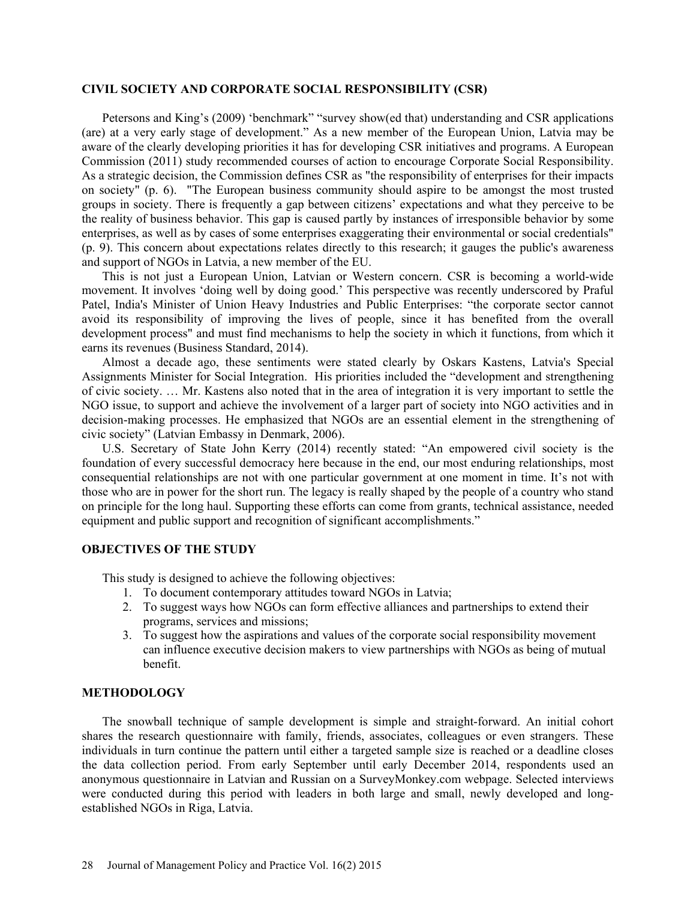## **CIVIL SOCIETY AND CORPORATE SOCIAL RESPONSIBILITY (CSR)**

Petersons and King's (2009) 'benchmark" "survey show(ed that) understanding and CSR applications (are) at a very early stage of development." As a new member of the European Union, Latvia may be aware of the clearly developing priorities it has for developing CSR initiatives and programs. A European Commission (2011) study recommended courses of action to encourage Corporate Social Responsibility. As a strategic decision, the Commission defines CSR as "the responsibility of enterprises for their impacts on society" (p. 6). "The European business community should aspire to be amongst the most trusted groups in society. There is frequently a gap between citizens' expectations and what they perceive to be the reality of business behavior. This gap is caused partly by instances of irresponsible behavior by some enterprises, as well as by cases of some enterprises exaggerating their environmental or social credentials" (p. 9). This concern about expectations relates directly to this research; it gauges the public's awareness and support of NGOs in Latvia, a new member of the EU.

This is not just a European Union, Latvian or Western concern. CSR is becoming a world-wide movement. It involves 'doing well by doing good.' This perspective was recently underscored by Praful Patel, India's Minister of Union Heavy Industries and Public Enterprises: "the corporate sector cannot avoid its responsibility of improving the lives of people, since it has benefited from the overall development process" and must find mechanisms to help the society in which it functions, from which it earns its revenues (Business Standard, 2014).

Almost a decade ago, these sentiments were stated clearly by Oskars Kastens, Latvia's Special Assignments Minister for Social Integration. His priorities included the "development and strengthening of civic society. … Mr. Kastens also noted that in the area of integration it is very important to settle the NGO issue, to support and achieve the involvement of a larger part of society into NGO activities and in decision-making processes. He emphasized that NGOs are an essential element in the strengthening of civic society" (Latvian Embassy in Denmark, 2006).

U.S. Secretary of State John Kerry (2014) recently stated: "An empowered civil society is the foundation of every successful democracy here because in the end, our most enduring relationships, most consequential relationships are not with one particular government at one moment in time. It's not with those who are in power for the short run. The legacy is really shaped by the people of a country who stand on principle for the long haul. Supporting these efforts can come from grants, technical assistance, needed equipment and public support and recognition of significant accomplishments."

#### **OBJECTIVES OF THE STUDY**

This study is designed to achieve the following objectives:

- 1. To document contemporary attitudes toward NGOs in Latvia;
- 2. To suggest ways how NGOs can form effective alliances and partnerships to extend their programs, services and missions;
- 3. To suggest how the aspirations and values of the corporate social responsibility movement can influence executive decision makers to view partnerships with NGOs as being of mutual benefit.

## **METHODOLOGY**

The snowball technique of sample development is simple and straight-forward. An initial cohort shares the research questionnaire with family, friends, associates, colleagues or even strangers. These individuals in turn continue the pattern until either a targeted sample size is reached or a deadline closes the data collection period. From early September until early December 2014, respondents used an anonymous questionnaire in Latvian and Russian on a SurveyMonkey.com webpage. Selected interviews were conducted during this period with leaders in both large and small, newly developed and longestablished NGOs in Riga, Latvia.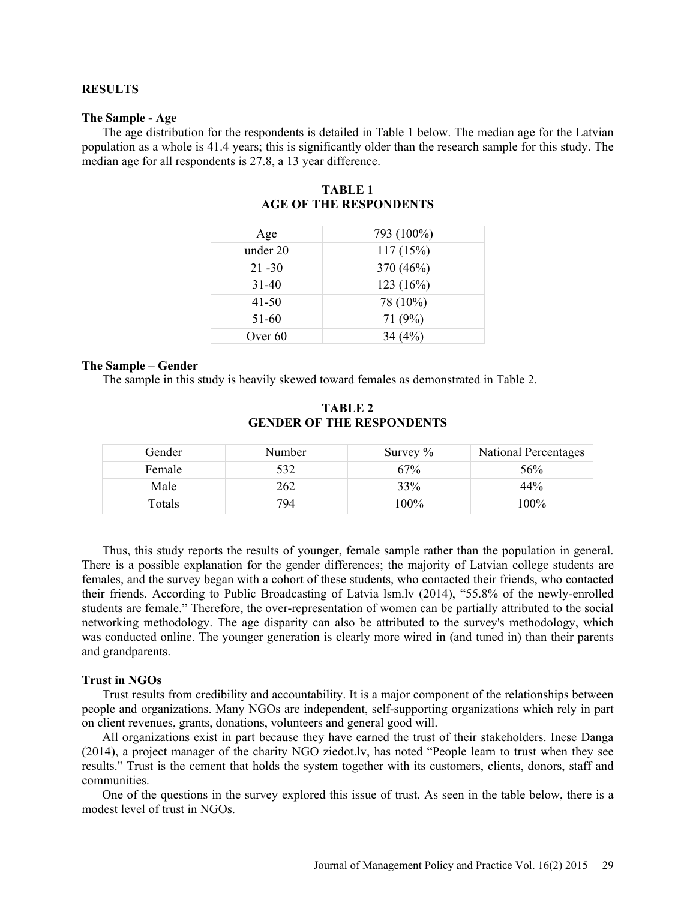#### **RESULTS**

#### **The Sample - Age**

The age distribution for the respondents is detailed in Table 1 below. The median age for the Latvian population as a whole is 41.4 years; this is significantly older than the research sample for this study. The median age for all respondents is 27.8, a 13 year difference.

| Age       | 793 (100%) |
|-----------|------------|
| under 20  | 117(15%)   |
| $21 - 30$ | 370 (46%)  |
| $31 - 40$ | 123(16%)   |
| $41 - 50$ | 78 (10%)   |
| 51-60     | 71 $(9%)$  |
| Over $60$ | 34(4%)     |

### **TABLE 1 AGE OF THE RESPONDENTS**

#### **The Sample – Gender**

The sample in this study is heavily skewed toward females as demonstrated in Table 2.

| Gender | Number | Survey $\%$ | National Percentages |
|--------|--------|-------------|----------------------|
| Female | 532    | 67%         | 56%                  |
| Male   | 262    | 33%         | 44%                  |
| Totals | 794    | l00%        | 100%                 |

### **TABLE 2 GENDER OF THE RESPONDENTS**

Thus, this study reports the results of younger, female sample rather than the population in general. There is a possible explanation for the gender differences; the majority of Latvian college students are females, and the survey began with a cohort of these students, who contacted their friends, who contacted their friends. According to Public Broadcasting of Latvia lsm.lv (2014), "55.8% of the newly-enrolled students are female." Therefore, the over-representation of women can be partially attributed to the social networking methodology. The age disparity can also be attributed to the survey's methodology, which was conducted online. The younger generation is clearly more wired in (and tuned in) than their parents and grandparents.

#### **Trust in NGOs**

Trust results from credibility and accountability. It is a major component of the relationships between people and organizations. Many NGOs are independent, self-supporting organizations which rely in part on client revenues, grants, donations, volunteers and general good will.

All organizations exist in part because they have earned the trust of their stakeholders. Inese Danga (2014), a project manager of the charity NGO ziedot.lv, has noted "People learn to trust when they see results." Trust is the cement that holds the system together with its customers, clients, donors, staff and communities.

One of the questions in the survey explored this issue of trust. As seen in the table below, there is a modest level of trust in NGOs.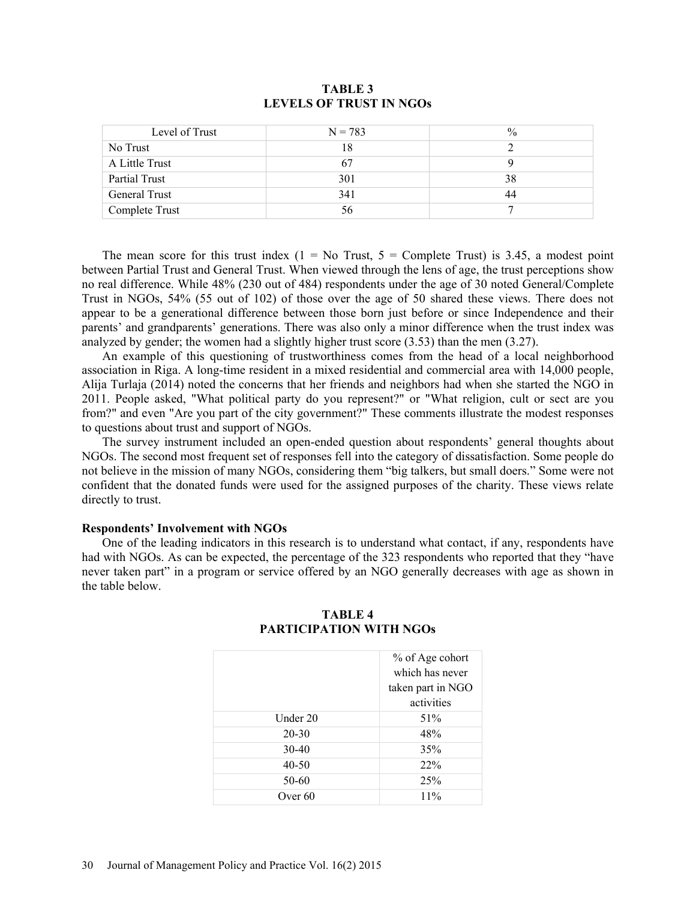| Level of Trust       | $N = 783$ | $\frac{0}{0}$ |
|----------------------|-----------|---------------|
| No Trust             | 18        |               |
| A Little Trust       | 67        |               |
| Partial Trust        | 301       | 38            |
| <b>General Trust</b> | 341       | 44            |
| Complete Trust       | 56.       |               |

## **TABLE 3 LEVELS OF TRUST IN NGOs**

The mean score for this trust index  $(1 = No Trust, 5 = Complete Trust)$  is 3.45, a modest point between Partial Trust and General Trust. When viewed through the lens of age, the trust perceptions show no real difference. While 48% (230 out of 484) respondents under the age of 30 noted General/Complete Trust in NGOs, 54% (55 out of 102) of those over the age of 50 shared these views. There does not appear to be a generational difference between those born just before or since Independence and their parents' and grandparents' generations. There was also only a minor difference when the trust index was analyzed by gender; the women had a slightly higher trust score (3.53) than the men (3.27).

An example of this questioning of trustworthiness comes from the head of a local neighborhood association in Riga. A long-time resident in a mixed residential and commercial area with 14,000 people, Alija Turlaja (2014) noted the concerns that her friends and neighbors had when she started the NGO in 2011. People asked, "What political party do you represent?" or "What religion, cult or sect are you from?" and even "Are you part of the city government?" These comments illustrate the modest responses to questions about trust and support of NGOs.

The survey instrument included an open-ended question about respondents' general thoughts about NGOs. The second most frequent set of responses fell into the category of dissatisfaction. Some people do not believe in the mission of many NGOs, considering them "big talkers, but small doers." Some were not confident that the donated funds were used for the assigned purposes of the charity. These views relate directly to trust.

#### **Respondents' Involvement with NGOs**

One of the leading indicators in this research is to understand what contact, if any, respondents have had with NGOs. As can be expected, the percentage of the 323 respondents who reported that they "have never taken part" in a program or service offered by an NGO generally decreases with age as shown in the table below.

|          | % of Age cohort<br>which has never<br>taken part in NGO |  |
|----------|---------------------------------------------------------|--|
|          | activities                                              |  |
| Under 20 | 51%                                                     |  |
| 20-30    | 48%                                                     |  |
| 30-40    | 35%                                                     |  |
| 40-50    | 22%                                                     |  |
| 50-60    | 25%                                                     |  |
| Over 60  | 11%                                                     |  |
|          |                                                         |  |

## **TABLE 4 PARTICIPATION WITH NGOs**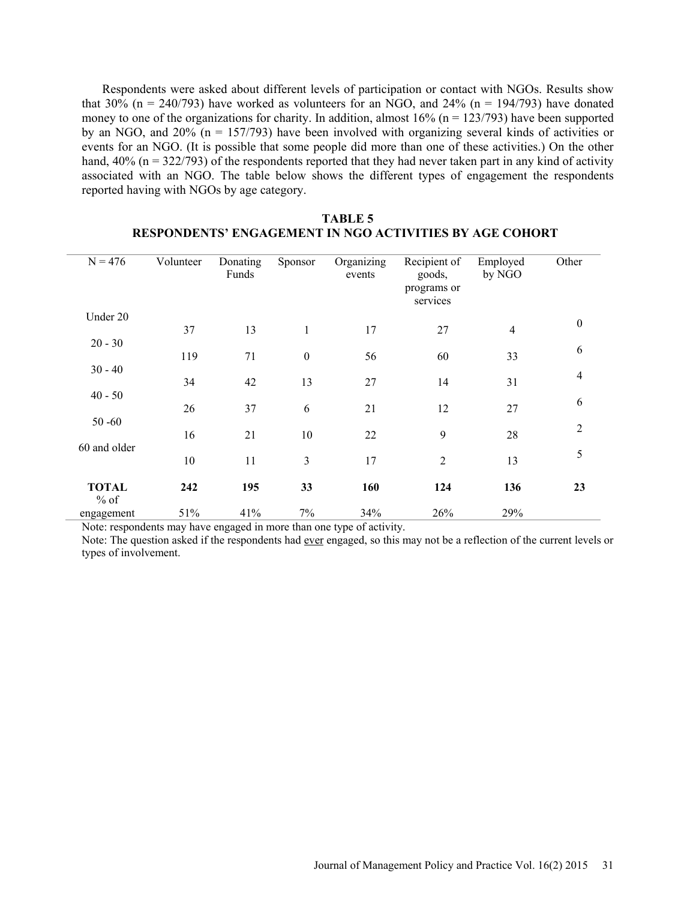Respondents were asked about different levels of participation or contact with NGOs. Results show that 30% ( $n = 240/793$ ) have worked as volunteers for an NGO, and 24% ( $n = 194/793$ ) have donated money to one of the organizations for charity. In addition, almost  $16\%$  (n = 123/793) have been supported by an NGO, and  $20\%$  (n = 157/793) have been involved with organizing several kinds of activities or events for an NGO. (It is possible that some people did more than one of these activities.) On the other hand,  $40\%$  (n = 322/793) of the respondents reported that they had never taken part in any kind of activity associated with an NGO. The table below shows the different types of engagement the respondents reported having with NGOs by age category.

| $N = 476$                 | Volunteer | Donating<br>Funds | Sponsor          | Organizing<br>events | Recipient of<br>goods,<br>programs or<br>services | Employed<br>by NGO | Other          |
|---------------------------|-----------|-------------------|------------------|----------------------|---------------------------------------------------|--------------------|----------------|
| Under 20                  | 37        | 13                | $\mathbf{1}$     | 17                   | 27                                                | $\overline{4}$     | $\mathbf{0}$   |
| $20 - 30$                 | 119       | 71                | $\boldsymbol{0}$ | 56                   | 60                                                | 33                 | 6              |
| $30 - 40$                 | 34        | 42                | 13               | 27                   | 14                                                | 31                 | $\overline{4}$ |
| $40 - 50$                 | 26        | 37                | 6                | 21                   | 12                                                | 27                 | 6              |
| $50 - 60$<br>60 and older | 16        | 21                | 10               | 22                   | 9                                                 | 28                 | $\overline{2}$ |
|                           | 10        | 11                | $\mathfrak{Z}$   | 17                   | $\overline{2}$                                    | 13                 | 5              |
| <b>TOTAL</b><br>$%$ of    | 242       | 195               | 33               | 160                  | 124                                               | 136                | 23             |
| engagement                | 51%       | 41%               | 7%               | 34%                  | 26%                                               | 29%                |                |

## **TABLE 5 RESPONDENTS' ENGAGEMENT IN NGO ACTIVITIES BY AGE COHORT**

Note: respondents may have engaged in more than one type of activity.

Note: The question asked if the respondents had ever engaged, so this may not be a reflection of the current levels or types of involvement.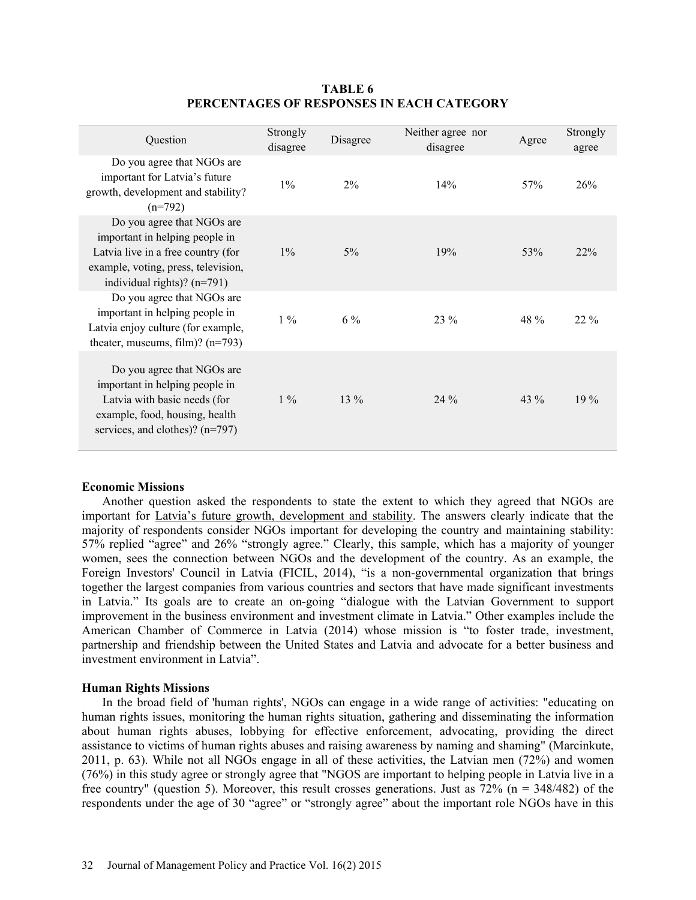| Question                                                                                                                                                                   | Strongly<br>disagree | Disagree | Neither agree nor<br>disagree | Agree  | Strongly<br>agree |
|----------------------------------------------------------------------------------------------------------------------------------------------------------------------------|----------------------|----------|-------------------------------|--------|-------------------|
| Do you agree that NGOs are<br>important for Latvia's future<br>growth, development and stability?<br>$(n=792)$                                                             | $1\%$                | $2\%$    | 14%                           | 57%    | 26%               |
| Do you agree that NGOs are<br>important in helping people in<br>Latvia live in a free country (for<br>example, voting, press, television,<br>individual rights)? $(n=791)$ | $1\%$                | $5\%$    | 19%                           | 53%    | 22%               |
| Do you agree that NGOs are<br>important in helping people in<br>Latvia enjoy culture (for example,<br>theater, museums, film)? $(n=793)$                                   | $1\%$                | $6\%$    | $23\%$                        | 48 %   | $22\%$            |
| Do you agree that NGOs are<br>important in helping people in<br>Latvia with basic needs (for<br>example, food, housing, health<br>services, and clothes)? $(n=797)$        | $1\%$                | $13\%$   | $24\%$                        | $43\%$ | $19\%$            |

## **TABLE 6 PERCENTAGES OF RESPONSES IN EACH CATEGORY**

### **Economic Missions**

Another question asked the respondents to state the extent to which they agreed that NGOs are important for Latvia's future growth, development and stability. The answers clearly indicate that the majority of respondents consider NGOs important for developing the country and maintaining stability: 57% replied "agree" and 26% "strongly agree." Clearly, this sample, which has a majority of younger women, sees the connection between NGOs and the development of the country. As an example, the Foreign Investors' Council in Latvia (FICIL, 2014), "is a non-governmental organization that brings together the largest companies from various countries and sectors that have made significant investments in Latvia." Its goals are to create an on-going "dialogue with the Latvian Government to support improvement in the business environment and investment climate in Latvia." Other examples include the American Chamber of Commerce in Latvia (2014) whose mission is "to foster trade, investment, partnership and friendship between the United States and Latvia and advocate for a better business and investment environment in Latvia".

### **Human Rights Missions**

In the broad field of 'human rights', NGOs can engage in a wide range of activities: "educating on human rights issues, monitoring the human rights situation, gathering and disseminating the information about human rights abuses, lobbying for effective enforcement, advocating, providing the direct assistance to victims of human rights abuses and raising awareness by naming and shaming" (Marcinkute, 2011, p. 63). While not all NGOs engage in all of these activities, the Latvian men (72%) and women (76%) in this study agree or strongly agree that "NGOS are important to helping people in Latvia live in a free country" (question 5). Moreover, this result crosses generations. Just as  $72\%$  (n = 348/482) of the respondents under the age of 30 "agree" or "strongly agree" about the important role NGOs have in this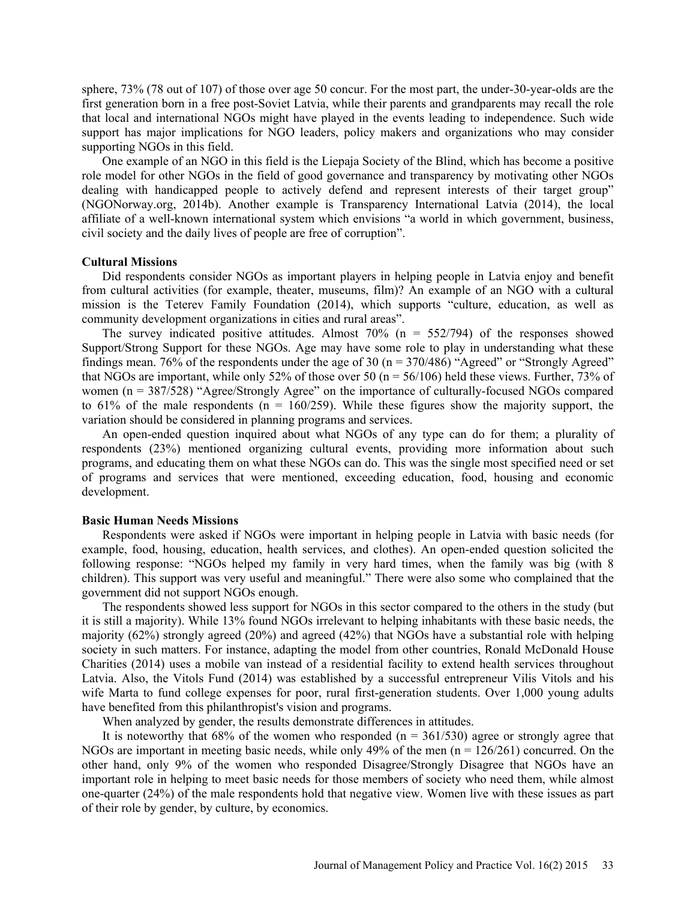sphere, 73% (78 out of 107) of those over age 50 concur. For the most part, the under-30-year-olds are the first generation born in a free post-Soviet Latvia, while their parents and grandparents may recall the role that local and international NGOs might have played in the events leading to independence. Such wide support has major implications for NGO leaders, policy makers and organizations who may consider supporting NGOs in this field.

One example of an NGO in this field is the Liepaja Society of the Blind, which has become a positive role model for other NGOs in the field of good governance and transparency by motivating other NGOs dealing with handicapped people to actively defend and represent interests of their target group" (NGONorway.org, 2014b). Another example is Transparency International Latvia (2014), the local affiliate of a well-known international system which envisions "a world in which government, business, civil society and the daily lives of people are free of corruption".

### **Cultural Missions**

Did respondents consider NGOs as important players in helping people in Latvia enjoy and benefit from cultural activities (for example, theater, museums, film)? An example of an NGO with a cultural mission is the Teterev Family Foundation (2014), which supports "culture, education, as well as community development organizations in cities and rural areas".

The survey indicated positive attitudes. Almost  $70\%$  (n =  $552/794$ ) of the responses showed Support/Strong Support for these NGOs. Age may have some role to play in understanding what these findings mean. 76% of the respondents under the age of 30 ( $n = 370/486$ ) "Agreed" or "Strongly Agreed" that NGOs are important, while only 52% of those over 50 ( $n = 56/106$ ) held these views. Further, 73% of women (n = 387/528) "Agree/Strongly Agree" on the importance of culturally-focused NGOs compared to 61% of the male respondents ( $n = 160/259$ ). While these figures show the majority support, the variation should be considered in planning programs and services.

An open-ended question inquired about what NGOs of any type can do for them; a plurality of respondents (23%) mentioned organizing cultural events, providing more information about such programs, and educating them on what these NGOs can do. This was the single most specified need or set of programs and services that were mentioned, exceeding education, food, housing and economic development.

#### **Basic Human Needs Missions**

Respondents were asked if NGOs were important in helping people in Latvia with basic needs (for example, food, housing, education, health services, and clothes). An open-ended question solicited the following response: "NGOs helped my family in very hard times, when the family was big (with 8 children). This support was very useful and meaningful." There were also some who complained that the government did not support NGOs enough.

The respondents showed less support for NGOs in this sector compared to the others in the study (but it is still a majority). While 13% found NGOs irrelevant to helping inhabitants with these basic needs, the majority (62%) strongly agreed (20%) and agreed (42%) that NGOs have a substantial role with helping society in such matters. For instance, adapting the model from other countries, Ronald McDonald House Charities (2014) uses a mobile van instead of a residential facility to extend health services throughout Latvia. Also, the Vitols Fund (2014) was established by a successful entrepreneur Vilis Vitols and his wife Marta to fund college expenses for poor, rural first-generation students. Over 1,000 young adults have benefited from this philanthropist's vision and programs.

When analyzed by gender, the results demonstrate differences in attitudes.

It is noteworthy that  $68\%$  of the women who responded ( $n = 361/530$ ) agree or strongly agree that NGOs are important in meeting basic needs, while only 49% of the men  $(n = 126/261)$  concurred. On the other hand, only 9% of the women who responded Disagree/Strongly Disagree that NGOs have an important role in helping to meet basic needs for those members of society who need them, while almost one-quarter (24%) of the male respondents hold that negative view. Women live with these issues as part of their role by gender, by culture, by economics.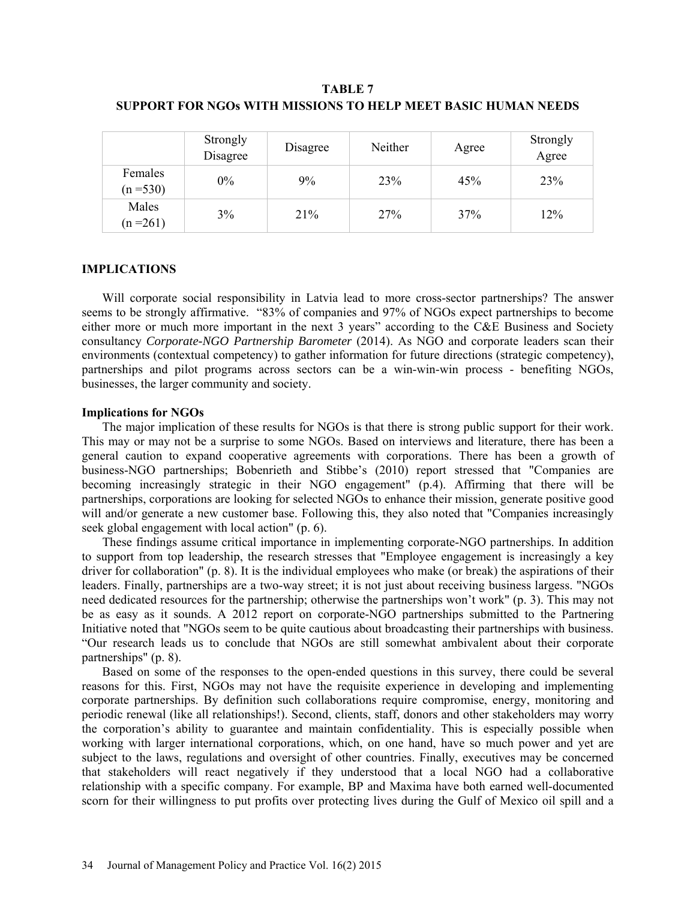## **TABLE 7 SUPPORT FOR NGOs WITH MISSIONS TO HELP MEET BASIC HUMAN NEEDS**

|                        | Strongly<br>Disagree | Disagree | Neither | Agree | Strongly<br>Agree |
|------------------------|----------------------|----------|---------|-------|-------------------|
| Females<br>$(n = 530)$ | $0\%$                | 9%       | 23%     | 45%   | 23%               |
| Males<br>$(n=261)$     | 3%                   | 21%      | 27%     | 37%   | 12%               |

### **IMPLICATIONS**

Will corporate social responsibility in Latvia lead to more cross-sector partnerships? The answer seems to be strongly affirmative. "83% of companies and 97% of NGOs expect partnerships to become either more or much more important in the next 3 years" according to the C&E Business and Society consultancy *Corporate-NGO Partnership Barometer* (2014). As NGO and corporate leaders scan their environments (contextual competency) to gather information for future directions (strategic competency), partnerships and pilot programs across sectors can be a win-win-win process - benefiting NGOs, businesses, the larger community and society.

### **Implications for NGOs**

The major implication of these results for NGOs is that there is strong public support for their work. This may or may not be a surprise to some NGOs. Based on interviews and literature, there has been a general caution to expand cooperative agreements with corporations. There has been a growth of business-NGO partnerships; Bobenrieth and Stibbe's (2010) report stressed that "Companies are becoming increasingly strategic in their NGO engagement" (p.4). Affirming that there will be partnerships, corporations are looking for selected NGOs to enhance their mission, generate positive good will and/or generate a new customer base. Following this, they also noted that "Companies increasingly seek global engagement with local action" (p. 6).

These findings assume critical importance in implementing corporate-NGO partnerships. In addition to support from top leadership, the research stresses that "Employee engagement is increasingly a key driver for collaboration" (p. 8). It is the individual employees who make (or break) the aspirations of their leaders. Finally, partnerships are a two-way street; it is not just about receiving business largess. "NGOs need dedicated resources for the partnership; otherwise the partnerships won't work" (p. 3). This may not be as easy as it sounds. A 2012 report on corporate-NGO partnerships submitted to the Partnering Initiative noted that "NGOs seem to be quite cautious about broadcasting their partnerships with business. "Our research leads us to conclude that NGOs are still somewhat ambivalent about their corporate partnerships" (p. 8).

Based on some of the responses to the open-ended questions in this survey, there could be several reasons for this. First, NGOs may not have the requisite experience in developing and implementing corporate partnerships. By definition such collaborations require compromise, energy, monitoring and periodic renewal (like all relationships!). Second, clients, staff, donors and other stakeholders may worry the corporation's ability to guarantee and maintain confidentiality. This is especially possible when working with larger international corporations, which, on one hand, have so much power and yet are subject to the laws, regulations and oversight of other countries. Finally, executives may be concerned that stakeholders will react negatively if they understood that a local NGO had a collaborative relationship with a specific company. For example, BP and Maxima have both earned well-documented scorn for their willingness to put profits over protecting lives during the Gulf of Mexico oil spill and a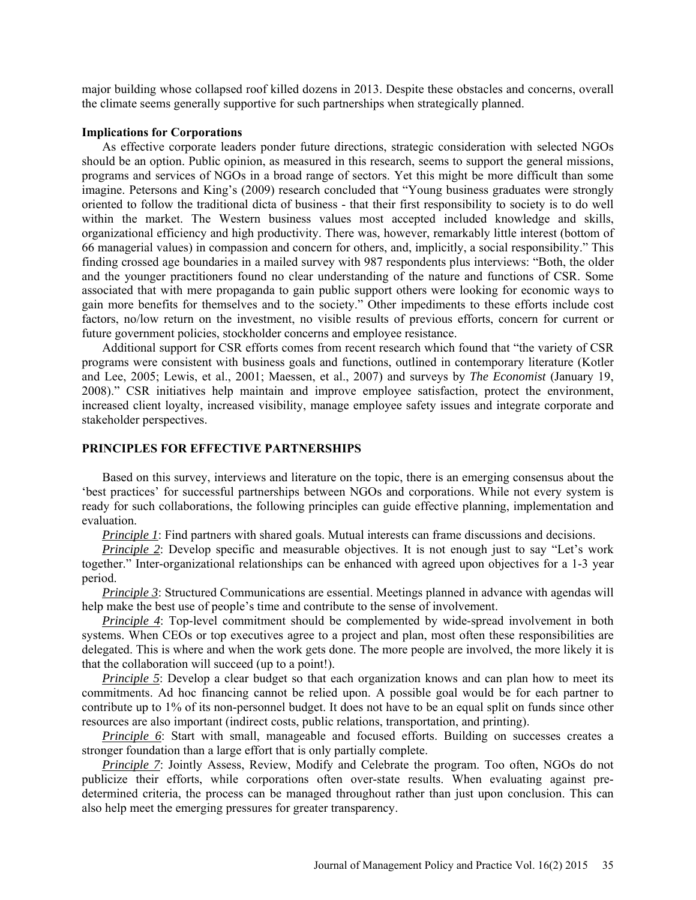major building whose collapsed roof killed dozens in 2013. Despite these obstacles and concerns, overall the climate seems generally supportive for such partnerships when strategically planned.

#### **Implications for Corporations**

As effective corporate leaders ponder future directions, strategic consideration with selected NGOs should be an option. Public opinion, as measured in this research, seems to support the general missions, programs and services of NGOs in a broad range of sectors. Yet this might be more difficult than some imagine. Petersons and King's (2009) research concluded that "Young business graduates were strongly oriented to follow the traditional dicta of business - that their first responsibility to society is to do well within the market. The Western business values most accepted included knowledge and skills, organizational efficiency and high productivity. There was, however, remarkably little interest (bottom of 66 managerial values) in compassion and concern for others, and, implicitly, a social responsibility." This finding crossed age boundaries in a mailed survey with 987 respondents plus interviews: "Both, the older and the younger practitioners found no clear understanding of the nature and functions of CSR. Some associated that with mere propaganda to gain public support others were looking for economic ways to gain more benefits for themselves and to the society." Other impediments to these efforts include cost factors, no/low return on the investment, no visible results of previous efforts, concern for current or future government policies, stockholder concerns and employee resistance.

Additional support for CSR efforts comes from recent research which found that "the variety of CSR programs were consistent with business goals and functions, outlined in contemporary literature (Kotler and Lee, 2005; Lewis, et al., 2001; Maessen, et al., 2007) and surveys by *The Economist* (January 19, 2008)." CSR initiatives help maintain and improve employee satisfaction, protect the environment, increased client loyalty, increased visibility, manage employee safety issues and integrate corporate and stakeholder perspectives.

#### **PRINCIPLES FOR EFFECTIVE PARTNERSHIPS**

Based on this survey, interviews and literature on the topic, there is an emerging consensus about the 'best practices' for successful partnerships between NGOs and corporations. While not every system is ready for such collaborations, the following principles can guide effective planning, implementation and evaluation.

*Principle 1*: Find partners with shared goals. Mutual interests can frame discussions and decisions.

*Principle 2*: Develop specific and measurable objectives. It is not enough just to say "Let's work together." Inter-organizational relationships can be enhanced with agreed upon objectives for a 1-3 year period.

*Principle 3*: Structured Communications are essential. Meetings planned in advance with agendas will help make the best use of people's time and contribute to the sense of involvement.

*Principle 4*: Top-level commitment should be complemented by wide-spread involvement in both systems. When CEOs or top executives agree to a project and plan, most often these responsibilities are delegated. This is where and when the work gets done. The more people are involved, the more likely it is that the collaboration will succeed (up to a point!).

*Principle 5*: Develop a clear budget so that each organization knows and can plan how to meet its commitments. Ad hoc financing cannot be relied upon. A possible goal would be for each partner to contribute up to 1% of its non-personnel budget. It does not have to be an equal split on funds since other resources are also important (indirect costs, public relations, transportation, and printing).

*Principle 6*: Start with small, manageable and focused efforts. Building on successes creates a stronger foundation than a large effort that is only partially complete.

*Principle 7*: Jointly Assess, Review, Modify and Celebrate the program. Too often, NGOs do not publicize their efforts, while corporations often over-state results. When evaluating against predetermined criteria, the process can be managed throughout rather than just upon conclusion. This can also help meet the emerging pressures for greater transparency.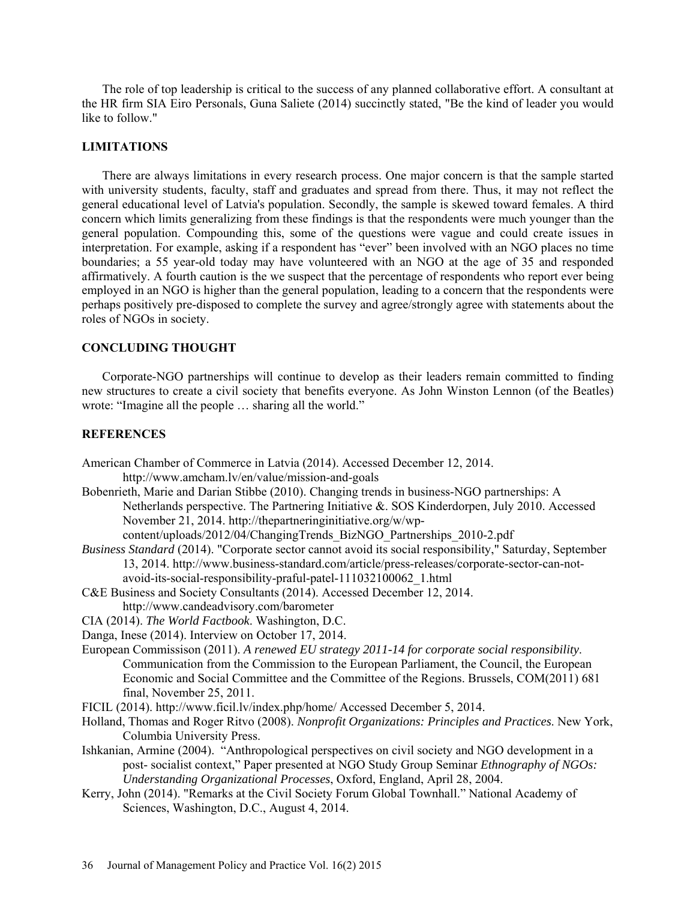The role of top leadership is critical to the success of any planned collaborative effort. A consultant at the HR firm SIA Eiro Personals, Guna Saliete (2014) succinctly stated, "Be the kind of leader you would like to follow."

## **LIMITATIONS**

There are always limitations in every research process. One major concern is that the sample started with university students, faculty, staff and graduates and spread from there. Thus, it may not reflect the general educational level of Latvia's population. Secondly, the sample is skewed toward females. A third concern which limits generalizing from these findings is that the respondents were much younger than the general population. Compounding this, some of the questions were vague and could create issues in interpretation. For example, asking if a respondent has "ever" been involved with an NGO places no time boundaries; a 55 year-old today may have volunteered with an NGO at the age of 35 and responded affirmatively. A fourth caution is the we suspect that the percentage of respondents who report ever being employed in an NGO is higher than the general population, leading to a concern that the respondents were perhaps positively pre-disposed to complete the survey and agree/strongly agree with statements about the roles of NGOs in society.

### **CONCLUDING THOUGHT**

Corporate-NGO partnerships will continue to develop as their leaders remain committed to finding new structures to create a civil society that benefits everyone. As John Winston Lennon (of the Beatles) wrote: "Imagine all the people … sharing all the world."

### **REFERENCES**

- American Chamber of Commerce in Latvia (2014). Accessed December 12, 2014. http://www.amcham.lv/en/value/mission-and-goals
- Bobenrieth, Marie and Darian Stibbe (2010). Changing trends in business-NGO partnerships: A Netherlands perspective. The Partnering Initiative &. SOS Kinderdorpen, July 2010. Accessed November 21, 2014. http://thepartneringinitiative.org/w/wp
	- content/uploads/2012/04/ChangingTrends\_BizNGO\_Partnerships\_2010-2.pdf
- *Business Standard* (2014). "Corporate sector cannot avoid its social responsibility," Saturday, September 13, 2014. http://www.business-standard.com/article/press-releases/corporate-sector-can-notavoid-its-social-responsibility-praful-patel-111032100062\_1.html
- C&E Business and Society Consultants (2014). Accessed December 12, 2014. http://www.candeadvisory.com/barometer
- CIA (2014). *The World Factbook*. Washington, D.C.
- Danga, Inese (2014). Interview on October 17, 2014.
- European Commissison (2011). *A renewed EU strategy 2011-14 for corporate social responsibility*. Communication from the Commission to the European Parliament, the Council, the European Economic and Social Committee and the Committee of the Regions. Brussels, COM(2011) 681 final, November 25, 2011.
- FICIL (2014). http://www.ficil.lv/index.php/home/ Accessed December 5, 2014.
- Holland, Thomas and Roger Ritvo (2008). *Nonprofit Organizations: Principles and Practices*. New York, Columbia University Press.
- Ishkanian, Armine (2004). "Anthropological perspectives on civil society and NGO development in a post- socialist context," Paper presented at NGO Study Group Seminar *Ethnography of NGOs: Understanding Organizational Processes*, Oxford, England, April 28, 2004.
- Kerry, John (2014). "Remarks at the Civil Society Forum Global Townhall." National Academy of Sciences, Washington, D.C., August 4, 2014.